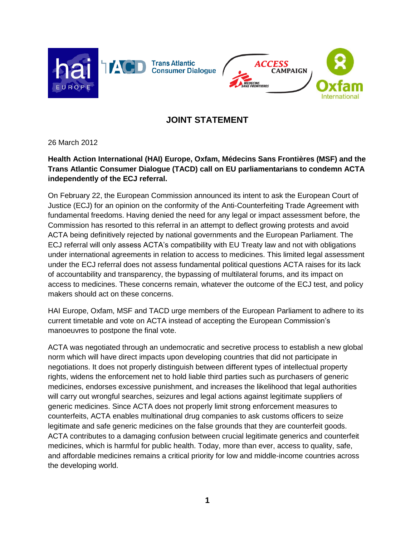



## **JOINT STATEMENT**

26 March 2012

## **Health Action International (HAI) Europe, Oxfam, Médecins Sans Frontières (MSF) and the Trans Atlantic Consumer Dialogue (TACD) call on EU parliamentarians to condemn ACTA independently of the ECJ referral.**

On February 22, the European Commission announced its intent to ask the European Court of Justice (ECJ) for an opinion on the conformity of the Anti-Counterfeiting Trade Agreement with fundamental freedoms. Having denied the need for any legal or impact assessment before, the Commission has resorted to this referral in an attempt to deflect growing protests and avoid ACTA being definitively rejected by national governments and the European Parliament. The ECJ referral will only assess ACTA's compatibility with EU Treaty law and not with obligations under international agreements in relation to access to medicines. This limited legal assessment under the ECJ referral does not assess fundamental political questions ACTA raises for its lack of accountability and transparency, the bypassing of multilateral forums, and its impact on access to medicines. These concerns remain, whatever the outcome of the ECJ test, and policy makers should act on these concerns.

HAI Europe, Oxfam, MSF and TACD urge members of the European Parliament to adhere to its current timetable and vote on ACTA instead of accepting the European Commission's manoeuvres to postpone the final vote.

ACTA was negotiated through an undemocratic and secretive process to establish a new global norm which will have direct impacts upon developing countries that did not participate in negotiations. It does not properly distinguish between different types of intellectual property rights, widens the enforcement net to hold liable third parties such as purchasers of generic medicines, endorses excessive punishment, and increases the likelihood that legal authorities will carry out wrongful searches, seizures and legal actions against legitimate suppliers of generic medicines. Since ACTA does not properly limit strong enforcement measures to counterfeits, ACTA enables multinational drug companies to ask customs officers to seize legitimate and safe generic medicines on the false grounds that they are counterfeit goods. ACTA contributes to a damaging confusion between crucial legitimate generics and counterfeit medicines, which is harmful for public health. Today, more than ever, access to quality, safe, and affordable medicines remains a critical priority for low and middle-income countries across the developing world.